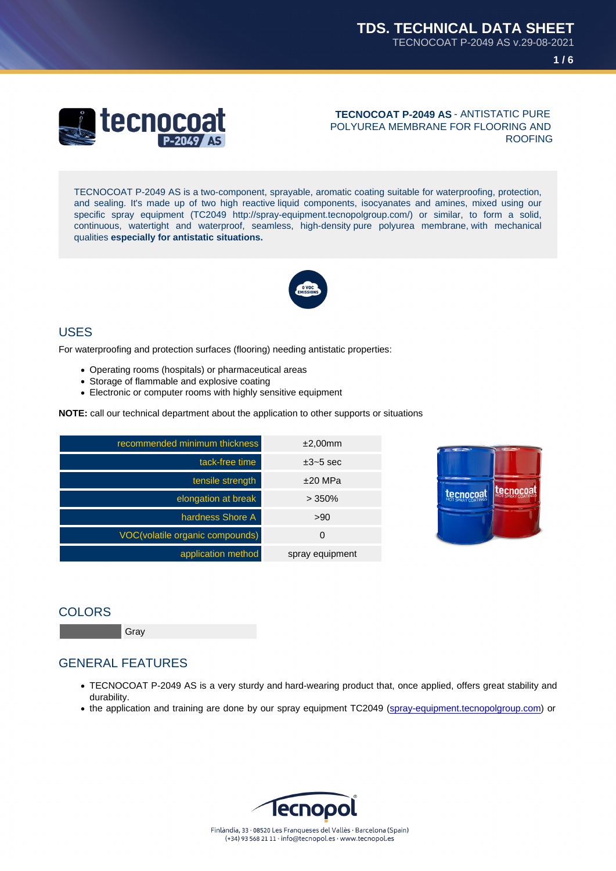#### TECNOCOAT P-2049 AS - ANTISTATIC PURE POLYUREA MEMBRANE FOR FLOORING AND ROOFING

TECNOCOAT P-2049 AS is a two-component, sprayable, aromatic coating suitable for waterproofing, protection, and sealing. It's made up of two high reactive liquid components, isocyanates and amines, mixed using our specific spray equipment (TC2049 http://spray-equipment.tecnopolgroup.com/) or similar, to form a solid, continuous, watertight and waterproof, seamless, high-density pure polyurea membrane, with mechanical qualities especially for antistatic situations.

## USES

For waterproofing and protection surfaces (flooring) needing antistatic properties:

- Operating rooms (hospitals) or pharmaceutical areas
- Storage of flammable and explosive coating
- Electronic or computer rooms with highly sensitive equipment

NOTE: call our technical department about the application to other supports or situations

| recommended minimum thickness   | ±2,00mm         |
|---------------------------------|-----------------|
| tack-free time                  | $\pm$ 3~5 sec   |
| tensile strength                | $±20$ MPa       |
| elongation at break             | $>350\%$        |
| hardness Shore A                | >90             |
| VOC(volatile organic compounds) | O               |
| application method              | spray equipment |

#### **COLORS**

Gray

### GENERAL FEATURES

- TECNOCOAT P-2049 AS is a very sturdy and hard-wearing product that, once applied, offers great stability and durability.
- the application and training are done by our spray equipment TC2049 (spray-equipment.tecnopolgroup.com) or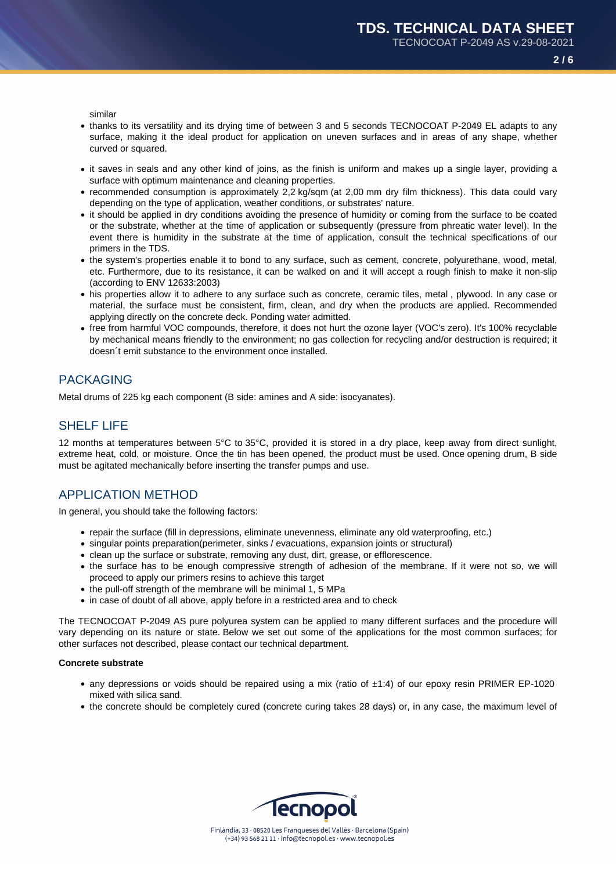**2 / 6**

similar

- thanks to its versatility and its drying time of between 3 and 5 seconds TECNOCOAT P-2049 EL adapts to any surface, making it the ideal product for application on uneven surfaces and in areas of any shape, whether curved or squared.
- it saves in seals and any other kind of joins, as the finish is uniform and makes up a single layer, providing a surface with optimum maintenance and cleaning properties.
- recommended consumption is approximately 2,2 kg/sqm (at 2,00 mm dry film thickness). This data could vary depending on the type of application, weather conditions, or substrates' nature.
- it should be applied in dry conditions avoiding the presence of humidity or coming from the surface to be coated or the substrate, whether at the time of application or subsequently (pressure from phreatic water level). In the event there is humidity in the substrate at the time of application, consult the technical specifications of our primers in the TDS.
- the system's properties enable it to bond to any surface, such as cement, concrete, polyurethane, wood, metal, etc. Furthermore, due to its resistance, it can be walked on and it will accept a rough finish to make it non-slip (according to ENV 12633:2003)
- his properties allow it to adhere to any surface such as concrete, ceramic tiles, metal , plywood. In any case or material, the surface must be consistent, firm, clean, and dry when the products are applied. Recommended applying directly on the concrete deck. Ponding water admitted.
- free from harmful VOC compounds, therefore, it does not hurt the ozone layer (VOC's zero). It's 100% recyclable by mechanical means friendly to the environment; no gas collection for recycling and/or destruction is required; it doesn´t emit substance to the environment once installed.

# PACKAGING

Metal drums of 225 kg each component (B side: amines and A side: isocyanates).

## SHELF LIFE

12 months at temperatures between 5°C to 35°C, provided it is stored in a dry place, keep away from direct sunlight, extreme heat, cold, or moisture. Once the tin has been opened, the product must be used. Once opening drum, B side must be agitated mechanically before inserting the transfer pumps and use.

## APPLICATION METHOD

In general, you should take the following factors:

- repair the surface (fill in depressions, eliminate unevenness, eliminate any old waterproofing, etc.)
- singular points preparation(perimeter, sinks / evacuations, expansion joints or structural)
- clean up the surface or substrate, removing any dust, dirt, grease, or efflorescence.
- the surface has to be enough compressive strength of adhesion of the membrane. If it were not so, we will proceed to apply our primers resins to achieve this target
- the pull-off strength of the membrane will be minimal 1, 5 MPa
- in case of doubt of all above, apply before in a restricted area and to check

The TECNOCOAT P-2049 AS pure polyurea system can be applied to many different surfaces and the procedure will vary depending on its nature or state. Below we set out some of the applications for the most common surfaces; for other surfaces not described, please contact our technical department.

#### **Concrete substrate**

- any depressions or voids should be repaired using a mix (ratio of ±1:4) of our epoxy resin PRIMER EP-1020 mixed with silica sand.
- the concrete should be completely cured (concrete curing takes 28 days) or, in any case, the maximum level of

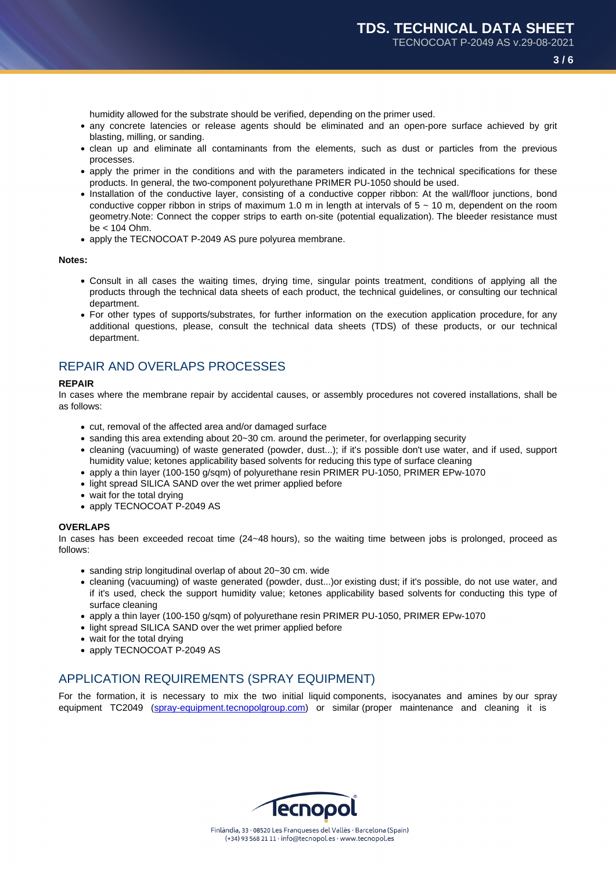humidity allowed for the substrate should be verified, depending on the primer used.

- any concrete latencies or release agents should be eliminated and an open-pore surface achieved by grit blasting, milling, or sanding.
- clean up and eliminate all contaminants from the elements, such as dust or particles from the previous processes.
- apply the primer in the conditions and with the parameters indicated in the technical specifications for these products. In general, the two-component polyurethane PRIMER PU-1050 should be used.
- Installation of the conductive layer, consisting of a conductive copper ribbon: At the wall/floor junctions, bond conductive copper ribbon in strips of maximum 1.0 m in length at intervals of  $5 \sim 10$  m, dependent on the room geometry.Note: Connect the copper strips to earth on-site (potential equalization). The bleeder resistance must be < 104 Ohm.
- apply the TECNOCOAT P-2049 AS pure polyurea membrane.

#### Notes:

- Consult in all cases the waiting times, drying time, singular points treatment, conditions of applying all the products through the technical data sheets of each product, the technical guidelines, or consulting our technical department.
- For other types of supports/substrates, for further information on the execution application procedure, for any additional questions, please, consult the technical data sheets (TDS) of these products, or our technical department.

## REPAIR AND OVERLAPS PROCESSES

#### REPAIR

In cases where the membrane repair by accidental causes, or assembly procedures not covered installations, shall be as follows:

- cut, removal of the affected area and/or damaged surface
- sanding this area extending about 20~30 cm. around the perimeter, for overlapping security
- cleaning (vacuuming) of waste generated (powder, dust...); if it's possible don't use water, and if used, support humidity value; ketones applicability based solvents for reducing this type of surface cleaning
- apply a thin layer (100-150 g/sqm) of polyurethane resin PRIMER PU-1050, PRIMER EPw-1070
- light spread SILICA SAND over the wet primer applied before
- wait for the total drying
- apply TECNOCOAT P-2049 AS

#### **OVERLAPS**

In cases has been exceeded recoat time (24~48 hours), so the waiting time between jobs is prolonged, proceed as follows:

- sanding strip longitudinal overlap of about 20~30 cm. wide
- cleaning (vacuuming) of waste generated (powder, dust...)or existing dust; if it's possible, do not use water, and if it's used, check the support humidity value; ketones applicability based solvents for conducting this type of surface cleaning
- apply a thin layer (100-150 g/sqm) of polyurethane resin PRIMER PU-1050, PRIMER EPw-1070
- light spread SILICA SAND over the wet primer applied before
- wait for the total drying
- apply TECNOCOAT P-2049 AS

## APPLICATION REQUIREMENTS (SPRAY EQUIPMENT)

For the formation, it is necessary to mix the two initial liquid components, isocyanates and amines by our spray equipment TC2049 (spray-equipment.tecnopolgroup.com) or similar (proper maintenance and cleaning it is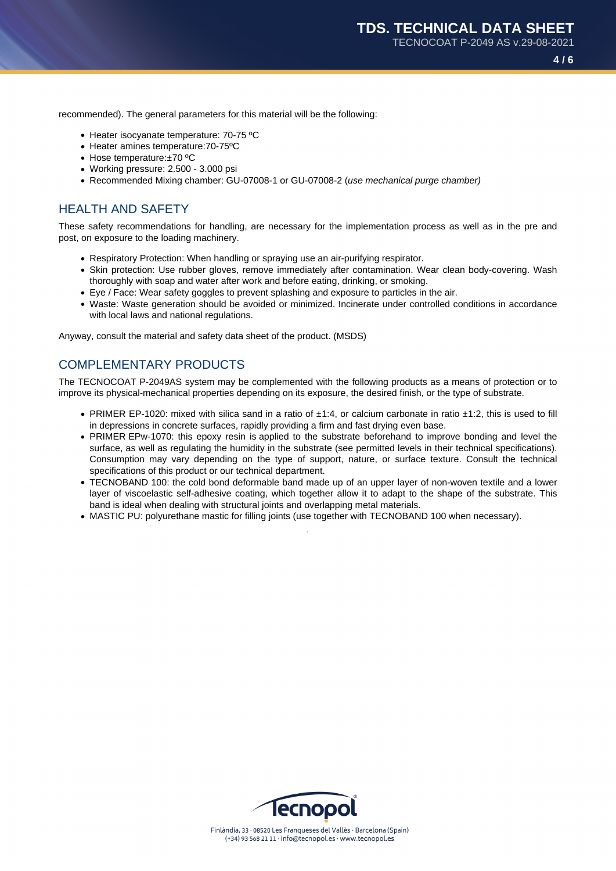**4 / 6**

recommended). The general parameters for this material will be the following:

- Heater isocyanate temperature: 70-75 °C
- Heater amines temperature:70-75ºC
- Hose temperature:±70 ºC
- Working pressure: 2.500 3.000 psi
- Recommended Mixing chamber: GU-07008-1 or GU-07008-2 (use mechanical purge chamber)

## HEALTH AND SAFETY

These safety recommendations for handling, are necessary for the implementation process as well as in the pre and post, on exposure to the loading machinery.

- Respiratory Protection: When handling or spraying use an air-purifying respirator.
- Skin protection: Use rubber gloves, remove immediately after contamination. Wear clean body-covering. Wash thoroughly with soap and water after work and before eating, drinking, or smoking.
- Eye / Face: Wear safety goggles to prevent splashing and exposure to particles in the air.
- Waste: Waste generation should be avoided or minimized. Incinerate under controlled conditions in accordance with local laws and national regulations.

Anyway, consult the material and safety data sheet of the product. (MSDS)

### COMPLEMENTARY PRODUCTS

The TECNOCOAT P-2049AS system may be complemented with the following products as a means of protection or to improve its physical-mechanical properties depending on its exposure, the desired finish, or the type of substrate.

- PRIMER EP-1020: mixed with silica sand in a ratio of ±1:4, or calcium carbonate in ratio ±1:2, this is used to fill in depressions in concrete surfaces, rapidly providing a firm and fast drying even base.
- PRIMER EPw-1070: this epoxy resin is applied to the substrate beforehand to improve bonding and level the surface, as well as regulating the humidity in the substrate (see permitted levels in their technical specifications). Consumption may vary depending on the type of support, nature, or surface texture. Consult the technical specifications of this product or our technical department.
- TECNOBAND 100: the cold bond deformable band made up of an upper layer of non-woven textile and a lower layer of viscoelastic self-adhesive coating, which together allow it to adapt to the shape of the substrate. This band is ideal when dealing with structural joints and overlapping metal materials.
- MASTIC PU: polyurethane mastic for filling joints (use together with TECNOBAND 100 when necessary).

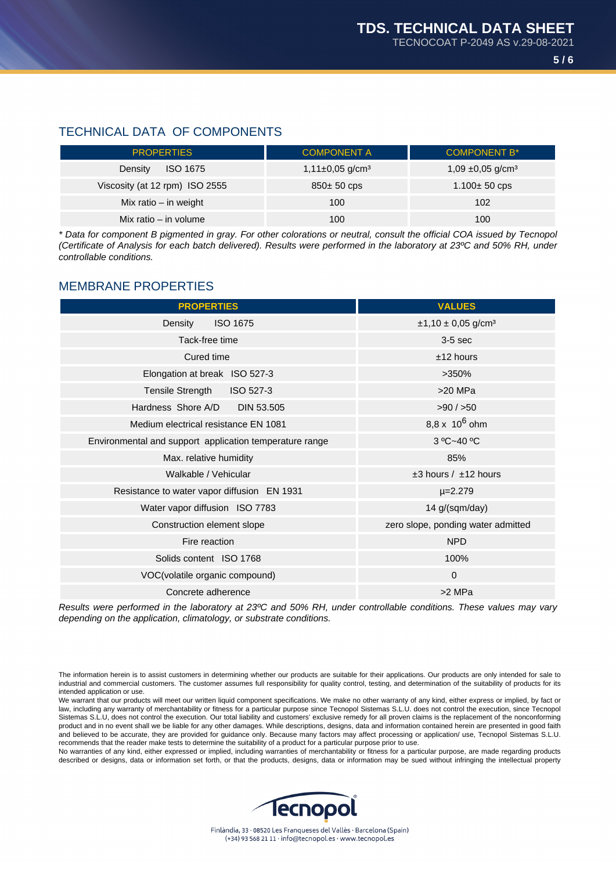# TECHNICAL DATA OF COMPONENTS

| <b>PROPERTIES</b>              | <b>COMPONENT A</b>              | <b>COMPONENT B*</b>               |
|--------------------------------|---------------------------------|-----------------------------------|
| <b>ISO 1675</b><br>Density     | $1,11\pm0,05$ g/cm <sup>3</sup> | 1,09 $\pm$ 0,05 g/cm <sup>3</sup> |
| Viscosity (at 12 rpm) ISO 2555 | $850±50$ cps                    | $1.100 + 50$ cps                  |
| Mix ratio – in weight          | 100                             | 102                               |
| Mix ratio - in volume          | 100                             | 100                               |

\* Data for component B pigmented in gray. For other colorations or neutral, consult the official COA issued by Tecnopol (Certificate of Analysis for each batch delivered). Results were performed in the laboratory at 23ºC and 50% RH, under controllable conditions.

# MEMBRANE PROPERTIES

| <b>PROPERTIES</b>                                       | <b>VALUES</b>                      |
|---------------------------------------------------------|------------------------------------|
| Density<br><b>ISO 1675</b>                              | $±1,10±0,05$ g/cm <sup>3</sup>     |
| Tack-free time                                          | $3-5$ sec                          |
| Cured time                                              | $±12$ hours                        |
| Elongation at break ISO 527-3                           | $>350\%$                           |
| Tensile Strength ISO 527-3                              | $>20$ MPa                          |
| Hardness Shore A/D DIN 53.505                           | $>90$ / $>50$                      |
| Medium electrical resistance EN 1081                    | 8,8 x $10^6$ ohm                   |
| Environmental and support application temperature range | 3 °C~40 °C                         |
| Max. relative humidity                                  | 85%                                |
| Walkable / Vehicular                                    | $±3$ hours / $±12$ hours           |
| Resistance to water vapor diffusion EN 1931             | $\mu = 2.279$                      |
| Water vapor diffusion ISO 7783                          | 14 g/(sqm/day)                     |
| Construction element slope                              | zero slope, ponding water admitted |
| Fire reaction                                           | <b>NPD</b>                         |
| Solids content ISO 1768                                 | 100%                               |
| VOC(volatile organic compound)                          | $\mathbf{0}$                       |
| Concrete adherence                                      | >2 MPa                             |

Results were performed in the laboratory at 23ºC and 50% RH, under controllable conditions. These values may vary depending on the application, climatology, or substrate conditions.

The information herein is to assist customers in determining whether our products are suitable for their applications. Our products are only intended for sale to industrial and commercial customers. The customer assumes full responsibility for quality control, testing, and determination of the suitability of products for its intended application or use.

We warrant that our products will meet our written liquid component specifications. We make no other warranty of any kind, either express or implied, by fact or law, including any warranty of merchantability or fitness for a particular purpose since Tecnopol Sistemas S.L.U. does not control the execution, since Tecnopol Sistemas S.L.U, does not control the execution. Our total liability and customers' exclusive remedy for all proven claims is the replacement of the nonconforming product and in no event shall we be liable for any other damages. While descriptions, designs, data and information contained herein are presented in good faith and believed to be accurate, they are provided for guidance only. Because many factors may affect processing or application/ use, Tecnopol Sistemas S.L.U. recommends that the reader make tests to determine the suitability of a product for a particular purpose prior to use.

No warranties of any kind, either expressed or implied, including warranties of merchantability or fitness for a particular purpose, are made regarding products described or designs, data or information set forth, or that the products, designs, data or information may be sued without infringing the intellectual property